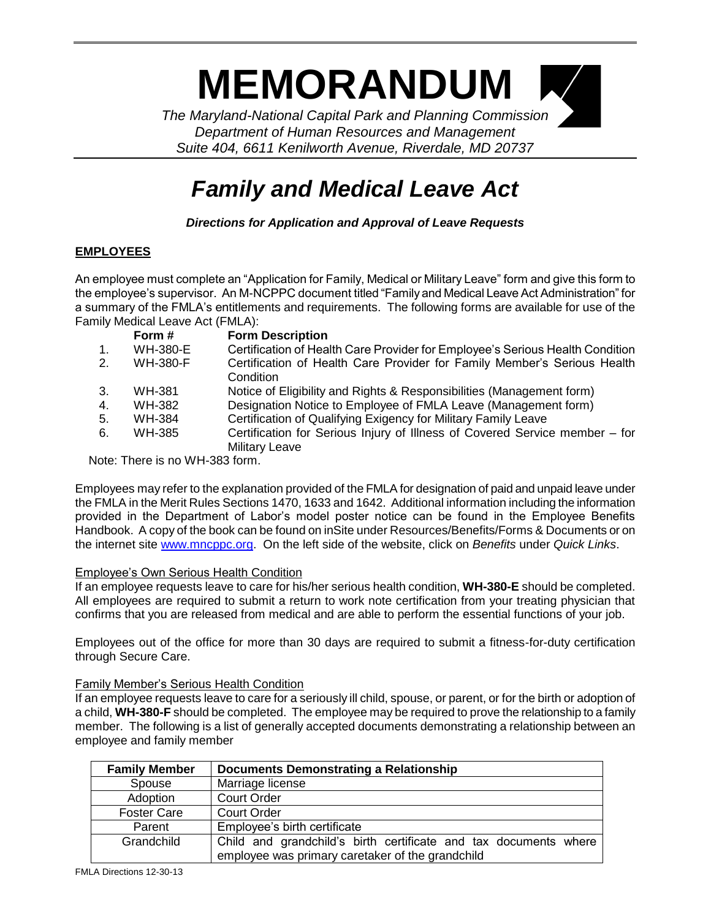# **MEMORANDUM**

*The Maryland-National Capital Park and Planning Commission Department of Human Resources and Management Suite 404, 6611 Kenilworth Avenue, Riverdale, MD 20737*

# *Family and Medical Leave Act*

*Directions for Application and Approval of Leave Requests*

## **EMPLOYEES**

An employee must complete an "Application for Family, Medical or Military Leave" form and give this form to the employee's supervisor. An M-NCPPC document titled "Family and Medical Leave Act Administration" for a summary of the FMLA's entitlements and requirements. The following forms are available for use of the Family Medical Leave Act (FMLA):

|    | Form #          | <b>Form Description</b>                                                       |
|----|-----------------|-------------------------------------------------------------------------------|
| 1. | WH-380-E        | Certification of Health Care Provider for Employee's Serious Health Condition |
| 2. | <b>WH-380-F</b> | Certification of Health Care Provider for Family Member's Serious Health      |
|    |                 | Condition                                                                     |
| 3. | WH-381          | Notice of Eligibility and Rights & Responsibilities (Management form)         |
| 4. | WH-382          | Designation Notice to Employee of FMLA Leave (Management form)                |
| 5. | WH-384          | Certification of Qualifying Exigency for Military Family Leave                |
| 6. | WH-385          | Certification for Serious Injury of Illness of Covered Service member – for   |
|    |                 | <b>Military Leave</b>                                                         |
|    |                 |                                                                               |

Note: There is no WH-383 form.

Employees may refer to the explanation provided of the FMLA for designation of paid and unpaid leave under the FMLA in the Merit Rules Sections 1470, 1633 and 1642. Additional information including the information provided in the Department of Labor's model poster notice can be found in the Employee Benefits Handbook. A copy of the book can be found on inSite under Resources/Benefits/Forms & Documents or on the internet site [www.mncppc.org.](http://www.mncppc.org/) On the left side of the website, click on *Benefits* under *Quick Links*.

### Employee's Own Serious Health Condition

If an employee requests leave to care for his/her serious health condition, **WH-380-E** should be completed. All employees are required to submit a return to work note certification from your treating physician that confirms that you are released from medical and are able to perform the essential functions of your job.

Employees out of the office for more than 30 days are required to submit a fitness-for-duty certification through Secure Care.

#### Family Member's Serious Health Condition

If an employee requests leave to care for a seriously ill child, spouse, or parent, or for the birth or adoption of a child, **WH-380-F** should be completed. The employee may be required to prove the relationship to a family member. The following is a list of generally accepted documents demonstrating a relationship between an employee and family member

| <b>Family Member</b> | <b>Documents Demonstrating a Relationship</b>                                                                        |
|----------------------|----------------------------------------------------------------------------------------------------------------------|
| Spouse               | Marriage license                                                                                                     |
| Adoption             | <b>Court Order</b>                                                                                                   |
| <b>Foster Care</b>   | <b>Court Order</b>                                                                                                   |
| Parent               | Employee's birth certificate                                                                                         |
| Grandchild           | Child and grandchild's birth certificate and tax documents where<br>employee was primary caretaker of the grandchild |